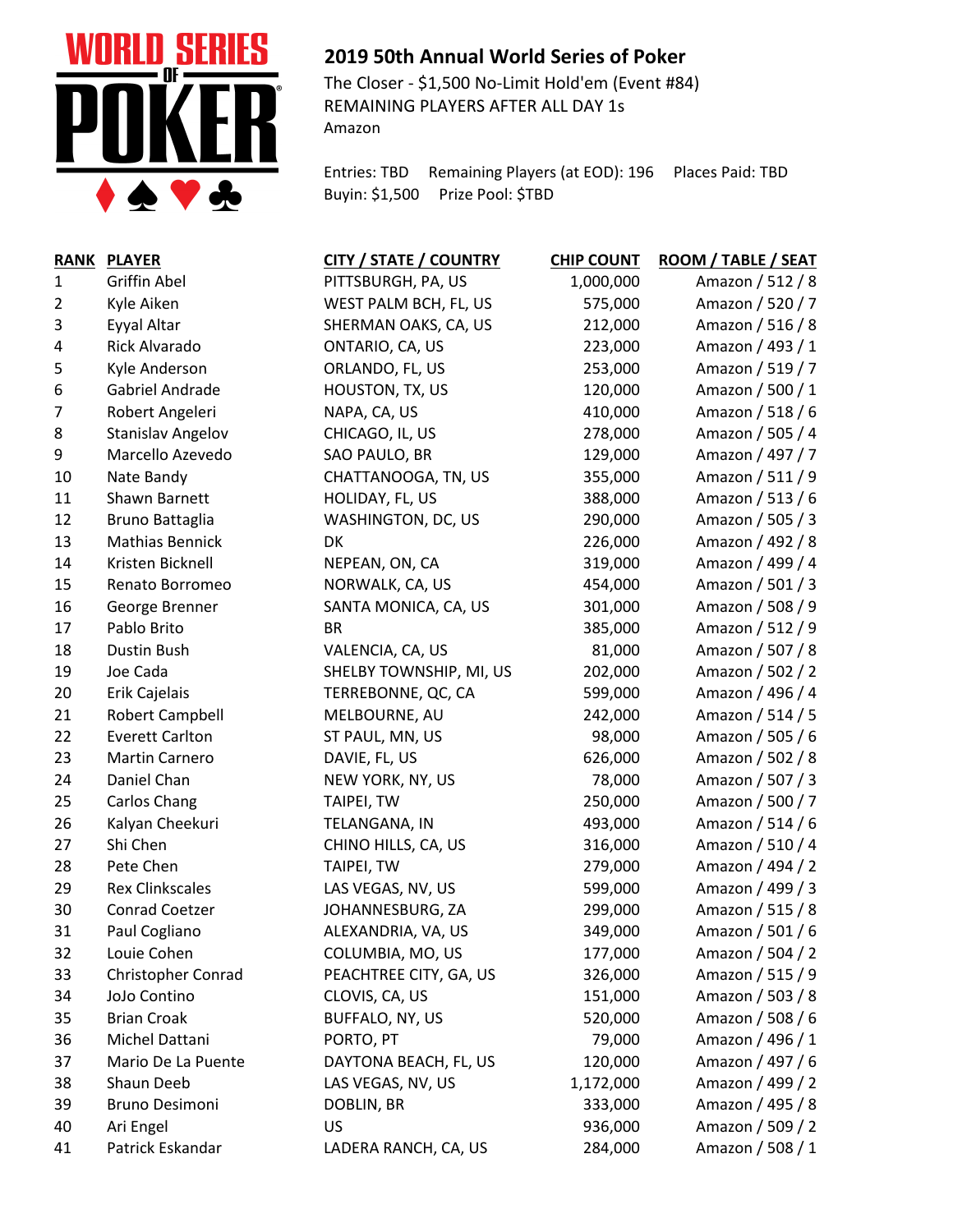

## **2019 50th Annual World Series of Poker**

The Closer - \$1,500 No-Limit Hold'em (Event #84) REMAINING PLAYERS AFTER ALL DAY 1s Amazon

Entries: TBD Remaining Players (at EOD): 196 Places Paid: TBD Buyin: \$1,500 Prize Pool: \$TBD

|                | RANK PLAYER              | CITY / STATE / COUNTRY  | <b>CHIP COUNT</b> | ROOM / TABLE / SEAT |
|----------------|--------------------------|-------------------------|-------------------|---------------------|
| 1              | <b>Griffin Abel</b>      | PITTSBURGH, PA, US      | 1,000,000         | Amazon / 512 / 8    |
| $\overline{2}$ | Kyle Aiken               | WEST PALM BCH, FL, US   | 575,000           | Amazon / 520 / 7    |
| 3              | Eyyal Altar              | SHERMAN OAKS, CA, US    | 212,000           | Amazon / 516 / 8    |
| 4              | <b>Rick Alvarado</b>     | ONTARIO, CA, US         | 223,000           | Amazon / 493 / 1    |
| 5              | Kyle Anderson            | ORLANDO, FL, US         | 253,000           | Amazon / 519 / 7    |
| 6              | Gabriel Andrade          | HOUSTON, TX, US         | 120,000           | Amazon / 500 / 1    |
| $\overline{7}$ | Robert Angeleri          | NAPA, CA, US            | 410,000           | Amazon / 518 / 6    |
| 8              | <b>Stanislav Angelov</b> | CHICAGO, IL, US         | 278,000           | Amazon / 505 / 4    |
| 9              | Marcello Azevedo         | SAO PAULO, BR           | 129,000           | Amazon / 497 / 7    |
| 10             | Nate Bandy               | CHATTANOOGA, TN, US     | 355,000           | Amazon / 511 / 9    |
| 11             | Shawn Barnett            | HOLIDAY, FL, US         | 388,000           | Amazon / 513 / 6    |
| 12             | Bruno Battaglia          | WASHINGTON, DC, US      | 290,000           | Amazon / 505 / 3    |
| 13             | <b>Mathias Bennick</b>   | DK                      | 226,000           | Amazon / 492 / 8    |
| 14             | Kristen Bicknell         | NEPEAN, ON, CA          | 319,000           | Amazon / 499 / 4    |
| 15             | Renato Borromeo          | NORWALK, CA, US         | 454,000           | Amazon / 501 / 3    |
| 16             | George Brenner           | SANTA MONICA, CA, US    | 301,000           | Amazon / 508 / 9    |
| 17             | Pablo Brito              | <b>BR</b>               | 385,000           | Amazon / 512 / 9    |
| 18             | Dustin Bush              | VALENCIA, CA, US        | 81,000            | Amazon / 507 / 8    |
| 19             | Joe Cada                 | SHELBY TOWNSHIP, MI, US | 202,000           | Amazon / 502 / 2    |
| 20             | Erik Cajelais            | TERREBONNE, QC, CA      | 599,000           | Amazon / 496 / 4    |
| 21             | Robert Campbell          | MELBOURNE, AU           | 242,000           | Amazon / 514 / 5    |
| 22             | <b>Everett Carlton</b>   | ST PAUL, MN, US         | 98,000            | Amazon / 505 / 6    |
| 23             | Martin Carnero           | DAVIE, FL, US           | 626,000           | Amazon / 502 / 8    |
| 24             | Daniel Chan              | NEW YORK, NY, US        | 78,000            | Amazon / 507 / 3    |
| 25             | Carlos Chang             | TAIPEI, TW              | 250,000           | Amazon / 500 / 7    |
| 26             | Kalyan Cheekuri          | TELANGANA, IN           | 493,000           | Amazon / 514 / 6    |
| 27             | Shi Chen                 | CHINO HILLS, CA, US     | 316,000           | Amazon / 510 / 4    |
| 28             | Pete Chen                | TAIPEI, TW              | 279,000           | Amazon / 494 / 2    |
| 29             | <b>Rex Clinkscales</b>   | LAS VEGAS, NV, US       | 599,000           | Amazon / 499 / 3    |
| 30             | <b>Conrad Coetzer</b>    | JOHANNESBURG, ZA        | 299,000           | Amazon / 515 / 8    |
| 31             | Paul Cogliano            | ALEXANDRIA, VA, US      | 349,000           | Amazon / 501 / 6    |
| 32             | Louie Cohen              | COLUMBIA, MO, US        | 177,000           | Amazon / 504 / 2    |
| 33             | Christopher Conrad       | PEACHTREE CITY, GA, US  | 326,000           | Amazon / 515 / 9    |
| 34             | JoJo Contino             | CLOVIS, CA, US          | 151,000           | Amazon / 503 / 8    |
| 35             | <b>Brian Croak</b>       | BUFFALO, NY, US         | 520,000           | Amazon / 508 / 6    |
| 36             | Michel Dattani           | PORTO, PT               | 79,000            | Amazon / 496 / 1    |
| 37             | Mario De La Puente       | DAYTONA BEACH, FL, US   | 120,000           | Amazon / 497 / 6    |
| 38             | Shaun Deeb               | LAS VEGAS, NV, US       | 1,172,000         | Amazon / 499 / 2    |
| 39             | <b>Bruno Desimoni</b>    | DOBLIN, BR              | 333,000           | Amazon / 495 / 8    |
| 40             | Ari Engel                | US                      | 936,000           | Amazon / 509 / 2    |
| 41             | Patrick Eskandar         | LADERA RANCH, CA, US    | 284,000           | Amazon / 508 / 1    |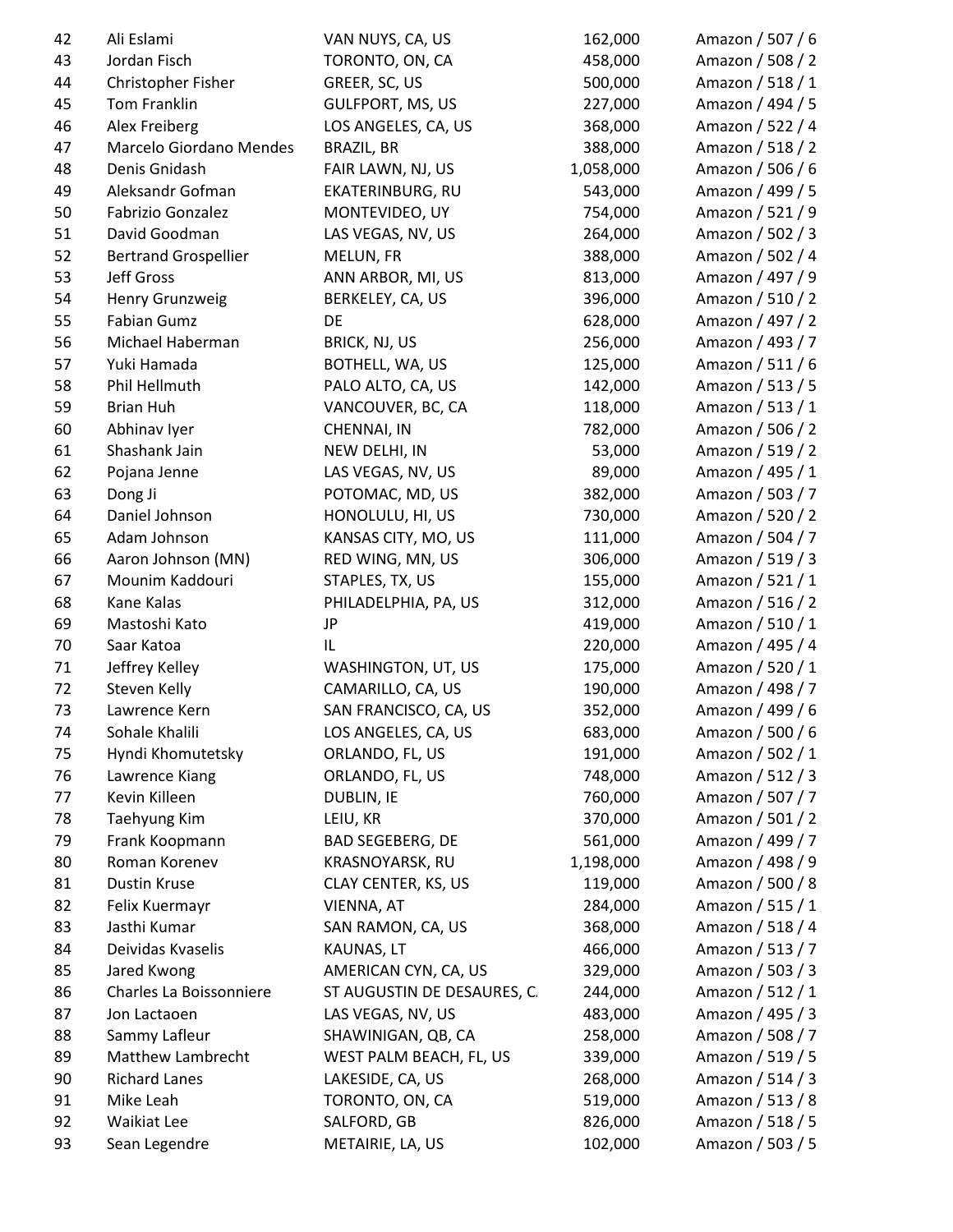| 42 | Ali Eslami                  | VAN NUYS, CA, US            | 162,000   | Amazon / 507 / 6 |
|----|-----------------------------|-----------------------------|-----------|------------------|
| 43 | Jordan Fisch                | TORONTO, ON, CA             | 458,000   | Amazon / 508 / 2 |
| 44 | Christopher Fisher          | GREER, SC, US               | 500,000   | Amazon / 518 / 1 |
| 45 | Tom Franklin                | <b>GULFPORT, MS, US</b>     | 227,000   | Amazon / 494 / 5 |
| 46 | Alex Freiberg               | LOS ANGELES, CA, US         | 368,000   | Amazon / 522 / 4 |
| 47 | Marcelo Giordano Mendes     | <b>BRAZIL, BR</b>           | 388,000   | Amazon / 518 / 2 |
| 48 | Denis Gnidash               | FAIR LAWN, NJ, US           | 1,058,000 | Amazon / 506 / 6 |
| 49 | Aleksandr Gofman            | EKATERINBURG, RU            | 543,000   | Amazon / 499 / 5 |
| 50 | Fabrizio Gonzalez           | MONTEVIDEO, UY              | 754,000   | Amazon / 521 / 9 |
| 51 | David Goodman               | LAS VEGAS, NV, US           | 264,000   | Amazon / 502 / 3 |
| 52 | <b>Bertrand Grospellier</b> | MELUN, FR                   | 388,000   | Amazon / 502 / 4 |
| 53 | <b>Jeff Gross</b>           | ANN ARBOR, MI, US           | 813,000   | Amazon / 497 / 9 |
| 54 | Henry Grunzweig             | BERKELEY, CA, US            | 396,000   | Amazon / 510 / 2 |
| 55 | <b>Fabian Gumz</b>          | DE                          | 628,000   | Amazon / 497 / 2 |
| 56 | Michael Haberman            | BRICK, NJ, US               | 256,000   | Amazon / 493 / 7 |
| 57 | Yuki Hamada                 | BOTHELL, WA, US             | 125,000   | Amazon / 511 / 6 |
| 58 | Phil Hellmuth               | PALO ALTO, CA, US           | 142,000   | Amazon / 513 / 5 |
| 59 | <b>Brian Huh</b>            | VANCOUVER, BC, CA           | 118,000   | Amazon / 513 / 1 |
| 60 | Abhinav Iyer                | CHENNAI, IN                 | 782,000   | Amazon / 506 / 2 |
| 61 | Shashank Jain               | NEW DELHI, IN               | 53,000    | Amazon / 519 / 2 |
| 62 | Pojana Jenne                | LAS VEGAS, NV, US           | 89,000    | Amazon / 495 / 1 |
| 63 | Dong Ji                     | POTOMAC, MD, US             | 382,000   | Amazon / 503 / 7 |
| 64 | Daniel Johnson              | HONOLULU, HI, US            | 730,000   | Amazon / 520 / 2 |
| 65 | Adam Johnson                | KANSAS CITY, MO, US         | 111,000   | Amazon / 504 / 7 |
| 66 | Aaron Johnson (MN)          | RED WING, MN, US            | 306,000   | Amazon / 519 / 3 |
| 67 | Mounim Kaddouri             | STAPLES, TX, US             | 155,000   | Amazon / 521 / 1 |
| 68 | Kane Kalas                  | PHILADELPHIA, PA, US        | 312,000   | Amazon / 516 / 2 |
| 69 | Mastoshi Kato               | JP                          | 419,000   | Amazon / 510 / 1 |
| 70 | Saar Katoa                  | IL                          | 220,000   | Amazon / 495 / 4 |
| 71 | Jeffrey Kelley              | WASHINGTON, UT, US          | 175,000   | Amazon / 520 / 1 |
| 72 | Steven Kelly                | CAMARILLO, CA, US           | 190,000   | Amazon / 498 / 7 |
| 73 | Lawrence Kern               | SAN FRANCISCO, CA, US       | 352,000   | Amazon / 499 / 6 |
| 74 | Sohale Khalili              | LOS ANGELES, CA, US         | 683,000   | Amazon / 500 / 6 |
| 75 | Hyndi Khomutetsky           | ORLANDO, FL, US             | 191,000   | Amazon / 502 / 1 |
| 76 | Lawrence Kiang              | ORLANDO, FL, US             | 748,000   | Amazon / 512 / 3 |
| 77 | Kevin Killeen               | <b>DUBLIN, IE</b>           | 760,000   | Amazon / 507 / 7 |
| 78 | Taehyung Kim                | LEIU, KR                    | 370,000   | Amazon / 501 / 2 |
| 79 | Frank Koopmann              | <b>BAD SEGEBERG, DE</b>     | 561,000   | Amazon / 499 / 7 |
| 80 | Roman Korenev               | KRASNOYARSK, RU             | 1,198,000 | Amazon / 498 / 9 |
| 81 | Dustin Kruse                | CLAY CENTER, KS, US         | 119,000   | Amazon / 500 / 8 |
| 82 | Felix Kuermayr              | VIENNA, AT                  | 284,000   | Amazon / 515 / 1 |
| 83 | Jasthi Kumar                | SAN RAMON, CA, US           | 368,000   | Amazon / 518 / 4 |
| 84 | Deividas Kvaselis           | KAUNAS, LT                  | 466,000   | Amazon / 513 / 7 |
| 85 | Jared Kwong                 | AMERICAN CYN, CA, US        | 329,000   | Amazon / 503 / 3 |
| 86 | Charles La Boissonniere     | ST AUGUSTIN DE DESAURES, C. | 244,000   | Amazon / 512 / 1 |
| 87 | Jon Lactaoen                | LAS VEGAS, NV, US           | 483,000   | Amazon / 495 / 3 |
| 88 | Sammy Lafleur               | SHAWINIGAN, QB, CA          | 258,000   | Amazon / 508 / 7 |
| 89 | Matthew Lambrecht           | WEST PALM BEACH, FL, US     | 339,000   | Amazon / 519 / 5 |
| 90 | <b>Richard Lanes</b>        | LAKESIDE, CA, US            | 268,000   | Amazon / 514 / 3 |
| 91 | Mike Leah                   | TORONTO, ON, CA             | 519,000   | Amazon / 513 / 8 |
| 92 | <b>Waikiat Lee</b>          | SALFORD, GB                 | 826,000   | Amazon / 518 / 5 |
| 93 | Sean Legendre               | METAIRIE, LA, US            | 102,000   | Amazon / 503 / 5 |
|    |                             |                             |           |                  |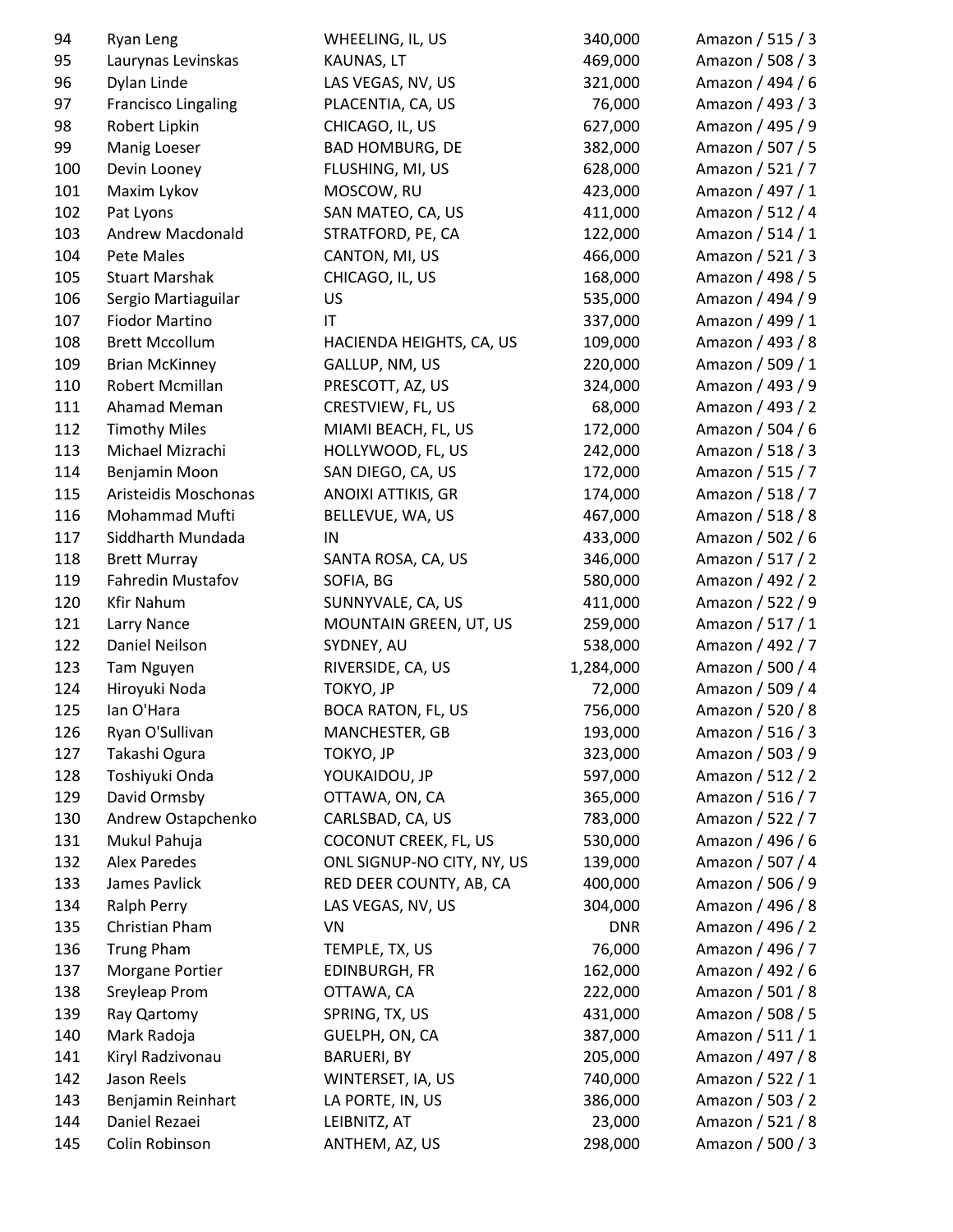| 94  | Ryan Leng                     | WHEELING, IL, US           | 340,000            | Amazon / 515 / 3                     |
|-----|-------------------------------|----------------------------|--------------------|--------------------------------------|
| 95  | Laurynas Levinskas            | KAUNAS, LT                 | 469,000            | Amazon / 508 / 3                     |
| 96  | Dylan Linde                   | LAS VEGAS, NV, US          | 321,000            | Amazon / 494 / 6                     |
| 97  | <b>Francisco Lingaling</b>    | PLACENTIA, CA, US          | 76,000             | Amazon / 493 / 3                     |
| 98  | Robert Lipkin                 | CHICAGO, IL, US            | 627,000            | Amazon / 495 / 9                     |
| 99  | Manig Loeser                  | <b>BAD HOMBURG, DE</b>     | 382,000            | Amazon / 507 / 5                     |
| 100 | Devin Looney                  | FLUSHING, MI, US           | 628,000            | Amazon / 521 / 7                     |
| 101 | Maxim Lykov                   | MOSCOW, RU                 | 423,000            | Amazon / 497 / 1                     |
| 102 | Pat Lyons                     | SAN MATEO, CA, US          | 411,000            | Amazon / 512 / 4                     |
| 103 | Andrew Macdonald              | STRATFORD, PE, CA          | 122,000            | Amazon / 514 / 1                     |
| 104 | Pete Males                    | CANTON, MI, US             | 466,000            | Amazon / 521 / 3                     |
| 105 | <b>Stuart Marshak</b>         | CHICAGO, IL, US            | 168,000            | Amazon / 498 / 5                     |
| 106 | Sergio Martiaguilar           | US                         | 535,000            | Amazon / 494 / 9                     |
| 107 | <b>Fiodor Martino</b>         | IT                         | 337,000            | Amazon / 499 / 1                     |
| 108 | <b>Brett Mccollum</b>         | HACIENDA HEIGHTS, CA, US   | 109,000            | Amazon / 493 / 8                     |
| 109 | <b>Brian McKinney</b>         | GALLUP, NM, US             | 220,000            | Amazon / 509 / 1                     |
| 110 | Robert Mcmillan               | PRESCOTT, AZ, US           | 324,000            | Amazon / 493 / 9                     |
| 111 | Ahamad Meman                  | CRESTVIEW, FL, US          | 68,000             | Amazon / 493 / 2                     |
| 112 | <b>Timothy Miles</b>          | MIAMI BEACH, FL, US        | 172,000            | Amazon / 504 / 6                     |
| 113 | Michael Mizrachi              | HOLLYWOOD, FL, US          | 242,000            | Amazon / 518 / 3                     |
| 114 | Benjamin Moon                 | SAN DIEGO, CA, US          | 172,000            | Amazon / 515 / 7                     |
| 115 | Aristeidis Moschonas          | ANOIXI ATTIKIS, GR         | 174,000            | Amazon / 518 / 7                     |
| 116 | Mohammad Mufti                | BELLEVUE, WA, US           | 467,000            | Amazon / 518 / 8                     |
| 117 | Siddharth Mundada             | IN                         | 433,000            | Amazon / 502 / 6                     |
| 118 | <b>Brett Murray</b>           | SANTA ROSA, CA, US         | 346,000            | Amazon / 517 / 2                     |
| 119 | Fahredin Mustafov             | SOFIA, BG                  | 580,000            | Amazon / 492 / 2                     |
| 120 | <b>Kfir Nahum</b>             | SUNNYVALE, CA, US          | 411,000            | Amazon / 522 / 9                     |
| 121 | Larry Nance                   | MOUNTAIN GREEN, UT, US     | 259,000            | Amazon / 517 / 1                     |
| 122 | Daniel Neilson                | SYDNEY, AU                 | 538,000            | Amazon / 492 / 7                     |
| 123 | Tam Nguyen                    | RIVERSIDE, CA, US          | 1,284,000          | Amazon / 500 / 4                     |
| 124 | Hiroyuki Noda                 | TOKYO, JP                  | 72,000             | Amazon / 509 / 4                     |
| 125 | lan O'Hara                    | <b>BOCA RATON, FL, US</b>  | 756,000            | Amazon / 520 / 8                     |
| 126 | Ryan O'Sullivan               | MANCHESTER, GB             | 193,000            | Amazon / 516 / 3                     |
| 127 | Takashi Ogura                 | TOKYO, JP                  | 323,000            | Amazon / 503 / 9                     |
| 128 | Toshiyuki Onda                | YOUKAIDOU, JP              | 597,000            | Amazon / 512 / 2                     |
| 129 | David Ormsby                  | OTTAWA, ON, CA             | 365,000            | Amazon / 516 / 7                     |
| 130 | Andrew Ostapchenko            | CARLSBAD, CA, US           | 783,000            | Amazon / 522 / 7                     |
| 131 | Mukul Pahuja                  | COCONUT CREEK, FL, US      | 530,000            | Amazon / 496 / 6                     |
| 132 | <b>Alex Paredes</b>           | ONL SIGNUP-NO CITY, NY, US |                    |                                      |
| 133 | James Pavlick                 | RED DEER COUNTY, AB, CA    | 139,000<br>400,000 | Amazon / 507 / 4<br>Amazon / 506 / 9 |
|     |                               |                            |                    | Amazon / 496 / 8                     |
| 134 | Ralph Perry<br>Christian Pham | LAS VEGAS, NV, US          | 304,000            |                                      |
| 135 |                               | VN                         | <b>DNR</b>         | Amazon / 496 / 2                     |
| 136 | <b>Trung Pham</b>             | TEMPLE, TX, US             | 76,000             | Amazon / 496 / 7                     |
| 137 | Morgane Portier               | EDINBURGH, FR              | 162,000            | Amazon / 492 / 6                     |
| 138 | Sreyleap Prom                 | OTTAWA, CA                 | 222,000            | Amazon / 501 / 8                     |
| 139 | Ray Qartomy                   | SPRING, TX, US             | 431,000            | Amazon / 508 / 5                     |
| 140 | Mark Radoja                   | GUELPH, ON, CA             | 387,000            | Amazon / 511 / 1                     |
| 141 | Kiryl Radzivonau              | <b>BARUERI, BY</b>         | 205,000            | Amazon / 497 / 8                     |
| 142 | Jason Reels                   | WINTERSET, IA, US          | 740,000            | Amazon / 522 / 1                     |
| 143 | Benjamin Reinhart             | LA PORTE, IN, US           | 386,000            | Amazon / 503 / 2                     |
| 144 | Daniel Rezaei                 | LEIBNITZ, AT               | 23,000             | Amazon / 521 / 8                     |
| 145 | Colin Robinson                | ANTHEM, AZ, US             | 298,000            | Amazon / 500 / 3                     |